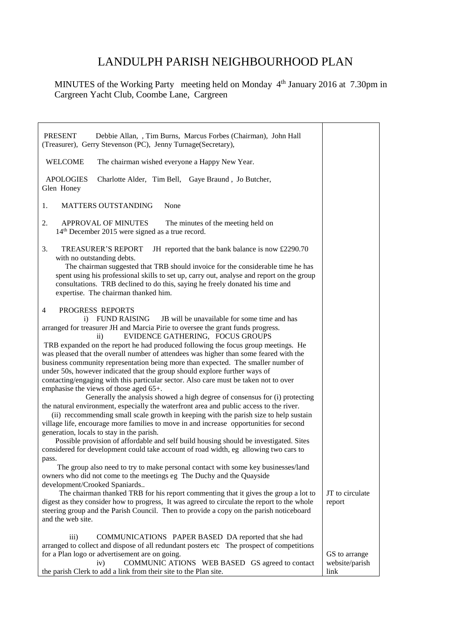## LANDULPH PARISH NEIGHBOURHOOD PLAN

MINUTES of the Working Party meeting held on Monday 4<sup>th</sup> January 2016 at 7.30pm in Cargreen Yacht Club, Coombe Lane, Cargreen

| Debbie Allan, , Tim Burns, Marcus Forbes (Chairman), John Hall<br>PRESENT<br>(Treasurer), Gerry Stevenson (PC), Jenny Turnage (Secretary),                                                                                                                                                                                                                                                                                                                                                                                                                                                                                                                                                                                                                                                                                                                                                                                                                                                                                                                                                                                                                                                                                                                                                                                                                                                                                                                                                                                                                                                                                                                                                                                                                                                                               |                                         |
|--------------------------------------------------------------------------------------------------------------------------------------------------------------------------------------------------------------------------------------------------------------------------------------------------------------------------------------------------------------------------------------------------------------------------------------------------------------------------------------------------------------------------------------------------------------------------------------------------------------------------------------------------------------------------------------------------------------------------------------------------------------------------------------------------------------------------------------------------------------------------------------------------------------------------------------------------------------------------------------------------------------------------------------------------------------------------------------------------------------------------------------------------------------------------------------------------------------------------------------------------------------------------------------------------------------------------------------------------------------------------------------------------------------------------------------------------------------------------------------------------------------------------------------------------------------------------------------------------------------------------------------------------------------------------------------------------------------------------------------------------------------------------------------------------------------------------|-----------------------------------------|
| <b>WELCOME</b><br>The chairman wished everyone a Happy New Year.                                                                                                                                                                                                                                                                                                                                                                                                                                                                                                                                                                                                                                                                                                                                                                                                                                                                                                                                                                                                                                                                                                                                                                                                                                                                                                                                                                                                                                                                                                                                                                                                                                                                                                                                                         |                                         |
| <b>APOLOGIES</b><br>Charlotte Alder, Tim Bell, Gaye Braund, Jo Butcher,<br>Glen Honey                                                                                                                                                                                                                                                                                                                                                                                                                                                                                                                                                                                                                                                                                                                                                                                                                                                                                                                                                                                                                                                                                                                                                                                                                                                                                                                                                                                                                                                                                                                                                                                                                                                                                                                                    |                                         |
| <b>MATTERS OUTSTANDING</b><br>None<br>1.                                                                                                                                                                                                                                                                                                                                                                                                                                                                                                                                                                                                                                                                                                                                                                                                                                                                                                                                                                                                                                                                                                                                                                                                                                                                                                                                                                                                                                                                                                                                                                                                                                                                                                                                                                                 |                                         |
| <b>APPROVAL OF MINUTES</b><br>2.<br>The minutes of the meeting held on<br>14 <sup>th</sup> December 2015 were signed as a true record.                                                                                                                                                                                                                                                                                                                                                                                                                                                                                                                                                                                                                                                                                                                                                                                                                                                                                                                                                                                                                                                                                                                                                                                                                                                                                                                                                                                                                                                                                                                                                                                                                                                                                   |                                         |
| 3.<br><b>TREASURER'S REPORT</b><br>JH reported that the bank balance is now £2290.70<br>with no outstanding debts.<br>The chairman suggested that TRB should invoice for the considerable time he has<br>spent using his professional skills to set up, carry out, analyse and report on the group<br>consultations. TRB declined to do this, saying he freely donated his time and<br>expertise. The chairman thanked him.                                                                                                                                                                                                                                                                                                                                                                                                                                                                                                                                                                                                                                                                                                                                                                                                                                                                                                                                                                                                                                                                                                                                                                                                                                                                                                                                                                                              |                                         |
| PROGRESS REPORTS<br>4<br>i) FUND RAISING<br>JB will be unavailable for some time and has<br>arranged for treasurer JH and Marcia Pirie to oversee the grant funds progress.<br>EVIDENCE GATHERING, FOCUS GROUPS<br>$\rm ii)$<br>TRB expanded on the report he had produced following the focus group meetings. He<br>was pleased that the overall number of attendees was higher than some feared with the<br>business community representation being more than expected. The smaller number of<br>under 50s, however indicated that the group should explore further ways of<br>contacting/engaging with this particular sector. Also care must be taken not to over<br>emphasise the views of those aged 65+.<br>Generally the analysis showed a high degree of consensus for (i) protecting<br>the natural environment, especially the waterfront area and public access to the river.<br>(ii) reccommending small scale growth in keeping with the parish size to help sustain<br>village life, encourage more families to move in and increase opportunities for second<br>generation, locals to stay in the parish.<br>Possible provision of affordable and self build housing should be investigated. Sites<br>considered for development could take account of road width, eg allowing two cars to<br>pass.<br>The group also need to try to make personal contact with some key businesses/land<br>owners who did not come to the meetings eg The Duchy and the Quayside<br>development/Crooked Spaniards<br>The chairman thanked TRB for his report commenting that it gives the group a lot to<br>digest as they consider how to progress, It was agreed to circulate the report to the whole<br>steering group and the Parish Council. Then to provide a copy on the parish noticeboard<br>and the web site. | JT to circulate<br>report               |
| $\overline{iii}$<br>COMMUNICATIONS PAPER BASED DA reported that she had<br>arranged to collect and dispose of all redundant posters etc The prospect of competitions<br>for a Plan logo or advertisement are on going.<br>COMMUNIC ATIONS WEB BASED GS agreed to contact<br>iv)<br>the parish Clerk to add a link from their site to the Plan site.                                                                                                                                                                                                                                                                                                                                                                                                                                                                                                                                                                                                                                                                                                                                                                                                                                                                                                                                                                                                                                                                                                                                                                                                                                                                                                                                                                                                                                                                      | GS to arrange<br>website/parish<br>link |